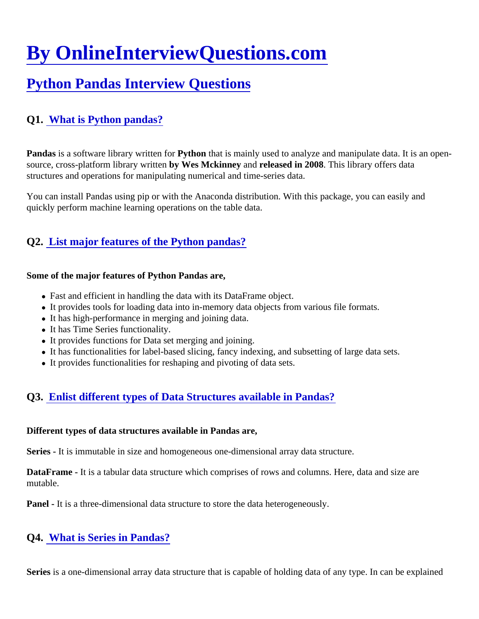# [By OnlineInterviewQuestions.com](https://www.onlineinterviewquestions.com/)

# [Python Pandas Interview Question](https://www.onlineinterviewquestions.com/python-pandas-interview-questions/)s

# Q1. [What is Python pandas?](https://www.onlineinterviewquestions.com/what-is-python-pandas/)

Pandasis a software library written for python that is mainly used to analyze and manipulate data. It is an opensource, cross-platform library writtery Wes Mckinney and released in 2008 This library offers data structures and operations for manipulating numerical and time-series data.

You can install Pandas using pip or with the Anaconda distribution. With this package, you can easily and quickly perform machine learning operations on the table data.

## Q2. [List major features of the Python pandas?](https://www.onlineinterviewquestions.com/list-major-features-of-the-python-pandas/)

Some of the major features of Python Pandas are,

- Fast and efficient in handling the data with its DataFrame object.
- It provides tools for loading data into in-memory data objects from various file formats.
- It has high-performance in merging and joining data.
- It has Time Series functionality.
- It provides functions for Data set merging and joining.
- It has functionalities for label-based slicing, fancy indexing, and subsetting of large data sets.
- It provides functionalities for reshaping and pivoting of data sets.

# Q3. [Enlist different types of Data Structures available in Pandas](https://www.onlineinterviewquestions.com/enlist-different-types-of-data-structures-available-in-pandas/)?

Different types of data structures available in Pandas are,

Series - It is immutable in size and homogeneous one-dimensional array data structure.

DataFrame - It is a tabular data structure which comprises of rows and columns. Here, data and size are mutable.

Panel - It is a three-dimensional data structure to store the data heterogeneously.

#### Q4. [What is Series in Pandas](https://www.onlineinterviewquestions.com/what-is-series-in-pandas/)?

Seriesis a one-dimensional array data structure that is capable of holding data of any type. In can be explaine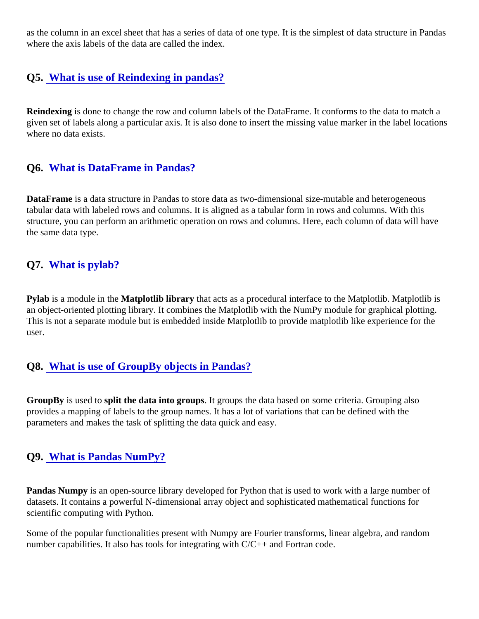as the column in an excel sheet that has a series of data of one type. It is the simplest of data structure in Pai where the axis labels of the data are called the index.

#### Q5. [What is use of Reindexing in pandas](https://www.onlineinterviewquestions.com/what-is-use-of-reindexing-in-pandas/)?

Reindexing is done to change the row and column labels of the DataFrame. It conforms to the data to match a given set of labels along a particular axis. It is also done to insert the missing value marker in the label locatic where no data exists.

#### Q6. [What is DataFrame in Pandas?](https://www.onlineinterviewquestions.com/what-is-dataframe-in-pandas/)

DataFrame is a data structure in Pandas to store data as two-dimensional size-mutable and heterogeneous tabular data with labeled rows and columns. It is aligned as a tabular form in rows and columns. With this structure, you can perform an arithmetic operation on rows and columns. Here, each column of data will have the same data type.

#### Q7. [What is pylab?](https://www.onlineinterviewquestions.com/what-is-pylab/)

Pylab is a module in the Matplotlib library that acts as a procedural interface to the Matplotlib. Matplotlib is an object-oriented plotting library. It combines the Matplotlib with the NumPy module for graphical plotting. This is not a separate module but is embedded inside Matplotlib to provide matplotlib like experience for the user.

#### Q8. [What is use of GroupBy objects in Pandas](https://www.onlineinterviewquestions.com/what-is-use-of-groupby-objects-in-pandas/)?

GroupBy is used to split the data into groups. It groups the data based on some criteria. Grouping also provides a mapping of labels to the group names. It has a lot of variations that can be defined with the parameters and makes the task of splitting the data quick and easy.

#### Q9. [What is Pandas NumPy?](https://www.onlineinterviewquestions.com/what-is-pandas-numpy/)

Pandas Numpy is an open-source library developed for Python that is used to work with a large number of datasets. It contains a powerful N-dimensional array object and sophisticated mathematical functions for scientific computing with Python.

Some of the popular functionalities present with Numpy are Fourier transforms, linear algebra, and random number capabilities. It also has tools for integrating with C/C++ and Fortran code.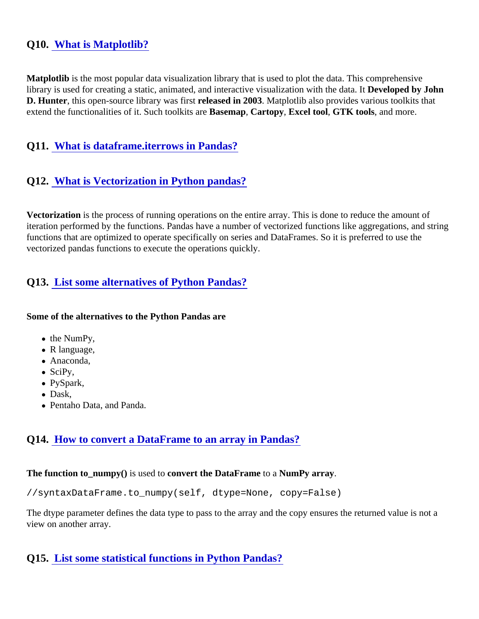#### Q10. [What is Matplotlib?](https://www.onlineinterviewquestions.com/what-is-matplotlib/)

Matplotlib is the most popular data visualization library that is used to plot the data. This comprehensive library is used for creating a static, animated, and interactive visualization with the Deteclibped by John D. Hunter, this open-source library was first leased in 2003Matplotlib also provides various toolkits that extend the functionalities of it. Such toolkits are Basemap Cartopy, Excel tool, GTK tools, and more.

#### Q11. [What is dataframe.iterrows in Pandas?](https://www.onlineinterviewquestions.com/what-is-dataframe-iterrows-in-pandas/)

#### Q12. [What is Vectorization in Python pandas?](https://www.onlineinterviewquestions.com/what-is-vectorization-in-python-pandas/)

Vectorization is the process of running operations on the entire array. This is done to reduce the amount of iteration performed by the functions. Pandas have a number of vectorized functions like aggregations, and str functions that are optimized to operate specifically on series and DataFrames. So it is preferred to use the vectorized pandas functions to execute the operations quickly.

## Q13. [List some alternatives of Python Pandas](https://www.onlineinterviewquestions.com/list-some-alternatives-of-python-pandas/)?

Some of the alternatives to the Python Pandas are

- the NumPy,
- R language,
- Anaconda,
- $\bullet$  SciPy,
- PySpark,
- Dask,
- Pentaho Data, and Panda.

#### Q14. [How to convert a DataFrame to an array in Pandas](https://www.onlineinterviewquestions.com/how-to-convert-a-dataframe-to-an-array-in-pandas/)?

The function to\_numpy() is used to convert the DataFrameto a NumPy array.

//syntax DataFrame.to\_numpy(self, dtype=None, copy=False)

The dtype parameter defines the data type to pass to the array and the copy ensures the returned value is not view on another array.

Q15. [List some statistical functions in Python Pandas](https://www.onlineinterviewquestions.com/list-some-statistical-functions-in-python-pandas/)?